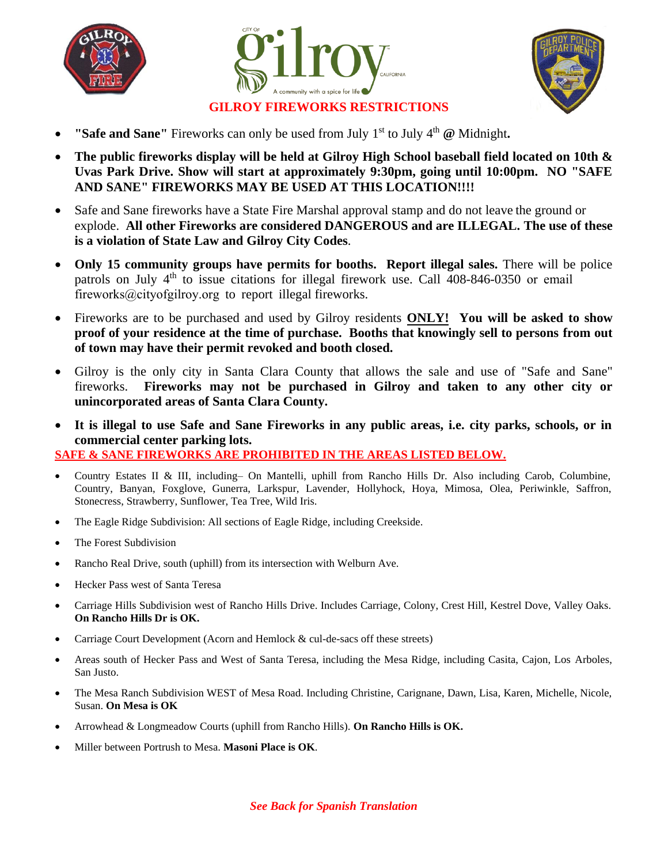





## **GILROY FIREWORKS RESTRICTIONS**

- **"Safe and Sane"** Fireworks can only be used from July 1st to July 4th **@** Midnight**.**
- **The public fireworks display will be held at Gilroy High School baseball field located on 10th & Uvas Park Drive. Show will start at approximately 9:30pm, going until 10:00pm. NO "SAFE AND SANE" FIREWORKS MAY BE USED AT THIS LOCATION!!!!**
- Safe and Sane fireworks have a State Fire Marshal approval stamp and do not leave the ground or explode. **All other Fireworks are considered DANGEROUS and are ILLEGAL. The use of these is a violation of State Law and Gilroy City Codes**.
- **Only 15 community groups have permits for booths. Report illegal sales.** There will be police patrols on July 4<sup>th</sup> to issue citations for illegal firework use. Call 408-846-0350 or email fireworks@cityofgilroy.org to report illegal fireworks.
- Fireworks are to be purchased and used by Gilroy residents **ONLY! You will be asked to show proof of your residence at the time of purchase. Booths that knowingly sell to persons from out of town may have their permit revoked and booth closed.**
- Gilroy is the only city in Santa Clara County that allows the sale and use of "Safe and Sane" fireworks. **Fireworks may not be purchased in Gilroy and taken to any other city or unincorporated areas of Santa Clara County.**
- **It is illegal to use Safe and Sane Fireworks in any public areas, i.e. city parks, schools, or in commercial center parking lots.**

**SAFE & SANE FIREWORKS ARE PROHIBITED IN THE AREAS LISTED BELOW.** 

- Country Estates II & III, including– On Mantelli, uphill from Rancho Hills Dr. Also including Carob, Columbine, Country, Banyan, Foxglove, Gunerra, Larkspur, Lavender, Hollyhock, Hoya, Mimosa, Olea, Periwinkle, Saffron, Stonecress, Strawberry, Sunflower, Tea Tree, Wild Iris.
- The Eagle Ridge Subdivision: All sections of Eagle Ridge, including Creekside.
- The Forest Subdivision
- Rancho Real Drive, south (uphill) from its intersection with Welburn Ave.
- Hecker Pass west of Santa Teresa
- Carriage Hills Subdivision west of Rancho Hills Drive. Includes Carriage, Colony, Crest Hill, Kestrel Dove, Valley Oaks. **On Rancho Hills Dr is OK.**
- Carriage Court Development (Acorn and Hemlock & cul-de-sacs off these streets)
- Areas south of Hecker Pass and West of Santa Teresa, including the Mesa Ridge, including Casita, Cajon, Los Arboles, San Justo.
- The Mesa Ranch Subdivision WEST of Mesa Road. Including Christine, Carignane, Dawn, Lisa, Karen, Michelle, Nicole, Susan. **On Mesa is OK**
- Arrowhead & Longmeadow Courts (uphill from Rancho Hills). **On Rancho Hills is OK.**
- Miller between Portrush to Mesa. **Masoni Place is OK**.